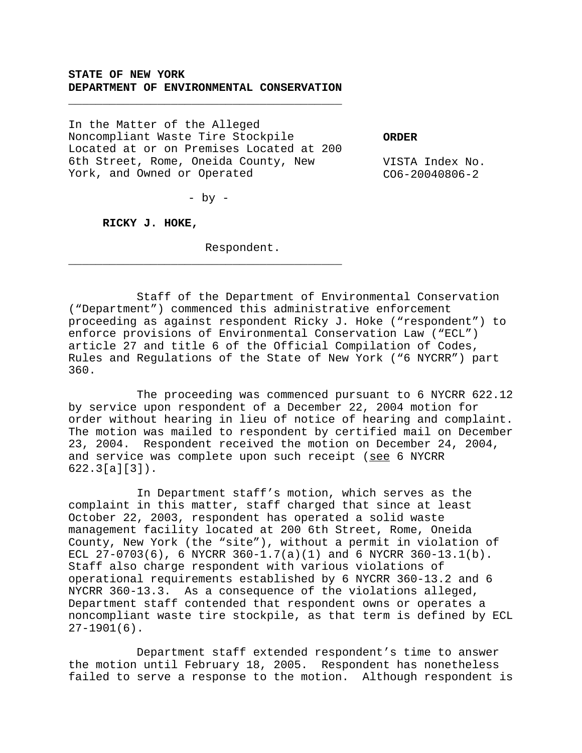## **STATE OF NEW YORK DEPARTMENT OF ENVIRONMENTAL CONSERVATION**

\_\_\_\_\_\_\_\_\_\_\_\_\_\_\_\_\_\_\_\_\_\_\_\_\_\_\_\_\_\_\_\_\_\_\_\_\_\_\_\_

In the Matter of the Alleged Noncompliant Waste Tire Stockpile Located at or on Premises Located at 200 6th Street, Rome, Oneida County, New York, and Owned or Operated

**ORDER**

VISTA Index No. CO6-20040806-2

- by -

\_\_\_\_\_\_\_\_\_\_\_\_\_\_\_\_\_\_\_\_\_\_\_\_\_\_\_\_\_\_\_\_\_\_\_\_\_\_\_\_

**RICKY J. HOKE,**

Respondent.

Staff of the Department of Environmental Conservation ("Department") commenced this administrative enforcement proceeding as against respondent Ricky J. Hoke ("respondent") to enforce provisions of Environmental Conservation Law ("ECL") article 27 and title 6 of the Official Compilation of Codes, Rules and Regulations of the State of New York ("6 NYCRR") part 360.

The proceeding was commenced pursuant to 6 NYCRR 622.12 by service upon respondent of a December 22, 2004 motion for order without hearing in lieu of notice of hearing and complaint. The motion was mailed to respondent by certified mail on December 23, 2004. Respondent received the motion on December 24, 2004, and service was complete upon such receipt (see 6 NYCRR 622.3[a][3]).

In Department staff's motion, which serves as the complaint in this matter, staff charged that since at least October 22, 2003, respondent has operated a solid waste management facility located at 200 6th Street, Rome, Oneida County, New York (the "site"), without a permit in violation of ECL  $27-0703(6)$ , 6 NYCRR  $360-1.7(a)(1)$  and 6 NYCRR  $360-13.1(b)$ . Staff also charge respondent with various violations of operational requirements established by 6 NYCRR 360-13.2 and 6 NYCRR 360-13.3. As a consequence of the violations alleged, Department staff contended that respondent owns or operates a noncompliant waste tire stockpile, as that term is defined by ECL 27-1901(6).

Department staff extended respondent's time to answer the motion until February 18, 2005. Respondent has nonetheless failed to serve a response to the motion. Although respondent is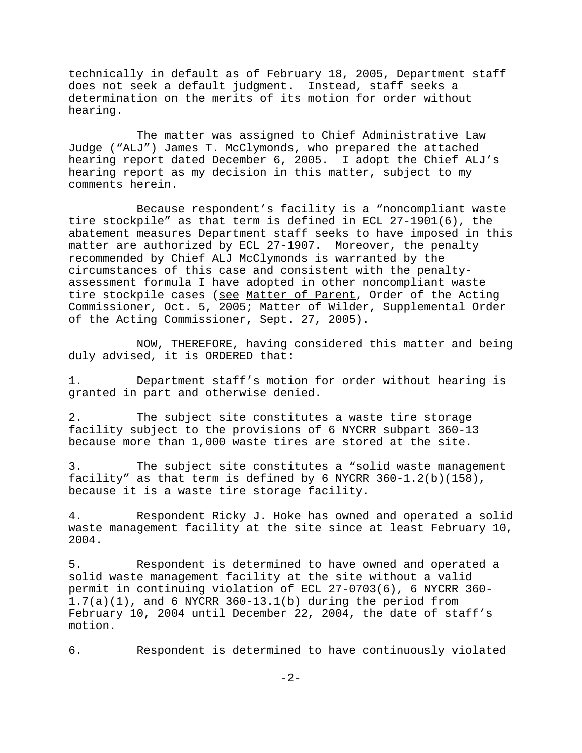technically in default as of February 18, 2005, Department staff does not seek a default judgment. Instead, staff seeks a determination on the merits of its motion for order without hearing.

The matter was assigned to Chief Administrative Law Judge ("ALJ") James T. McClymonds, who prepared the attached hearing report dated December 6, 2005. I adopt the Chief ALJ's hearing report as my decision in this matter, subject to my comments herein.

Because respondent's facility is a "noncompliant waste tire stockpile" as that term is defined in ECL 27-1901(6), the abatement measures Department staff seeks to have imposed in this matter are authorized by ECL 27-1907. Moreover, the penalty recommended by Chief ALJ McClymonds is warranted by the circumstances of this case and consistent with the penaltyassessment formula I have adopted in other noncompliant waste tire stockpile cases (see Matter of Parent, Order of the Acting Commissioner, Oct. 5, 2005; Matter of Wilder, Supplemental Order of the Acting Commissioner, Sept. 27, 2005).

NOW, THEREFORE, having considered this matter and being duly advised, it is ORDERED that:

1. Department staff's motion for order without hearing is granted in part and otherwise denied.

2. The subject site constitutes a waste tire storage facility subject to the provisions of 6 NYCRR subpart 360-13 because more than 1,000 waste tires are stored at the site.

3. The subject site constitutes a "solid waste management facility" as that term is defined by 6 NYCRR  $360-1.2(b)(158)$ , because it is a waste tire storage facility.

4. Respondent Ricky J. Hoke has owned and operated a solid waste management facility at the site since at least February 10, 2004.

5. Respondent is determined to have owned and operated a solid waste management facility at the site without a valid permit in continuing violation of ECL 27-0703(6), 6 NYCRR 360-  $1.7(a)(1)$ , and 6 NYCRR 360-13.1(b) during the period from February 10, 2004 until December 22, 2004, the date of staff's motion.

6. Respondent is determined to have continuously violated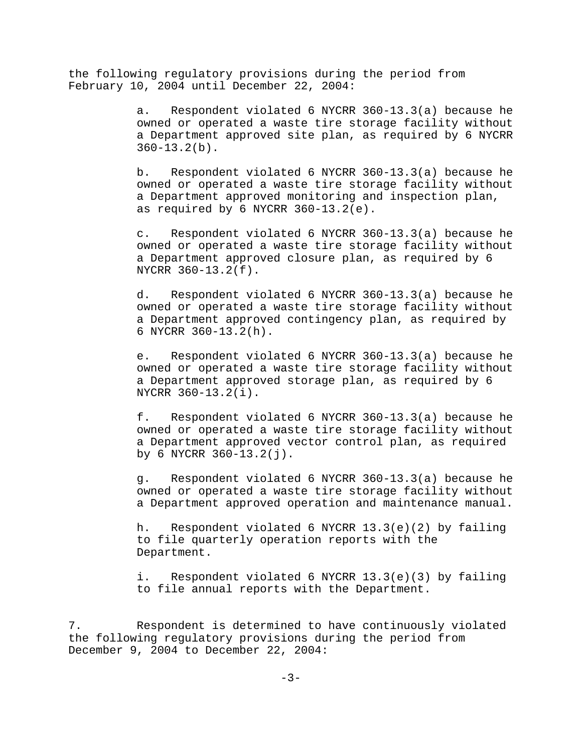the following regulatory provisions during the period from February 10, 2004 until December 22, 2004:

> a. Respondent violated 6 NYCRR 360-13.3(a) because he owned or operated a waste tire storage facility without a Department approved site plan, as required by 6 NYCRR  $360 - 13.2(b)$ .

> b. Respondent violated 6 NYCRR 360-13.3(a) because he owned or operated a waste tire storage facility without a Department approved monitoring and inspection plan, as required by  $6$  NYCRR  $360-13.2(e)$ .

> c. Respondent violated 6 NYCRR 360-13.3(a) because he owned or operated a waste tire storage facility without a Department approved closure plan, as required by 6 NYCRR 360-13.2(f).

> d. Respondent violated 6 NYCRR 360-13.3(a) because he owned or operated a waste tire storage facility without a Department approved contingency plan, as required by 6 NYCRR 360-13.2(h).

> e. Respondent violated 6 NYCRR 360-13.3(a) because he owned or operated a waste tire storage facility without a Department approved storage plan, as required by 6 NYCRR 360-13.2(i).

> f. Respondent violated 6 NYCRR 360-13.3(a) because he owned or operated a waste tire storage facility without a Department approved vector control plan, as required by 6 NYCRR 360-13.2(j).

> g. Respondent violated 6 NYCRR 360-13.3(a) because he owned or operated a waste tire storage facility without a Department approved operation and maintenance manual.

h. Respondent violated 6 NYCRR 13.3(e)(2) by failing to file quarterly operation reports with the Department.

i. Respondent violated 6 NYCRR 13.3(e)(3) by failing to file annual reports with the Department.

7. Respondent is determined to have continuously violated the following regulatory provisions during the period from December 9, 2004 to December 22, 2004: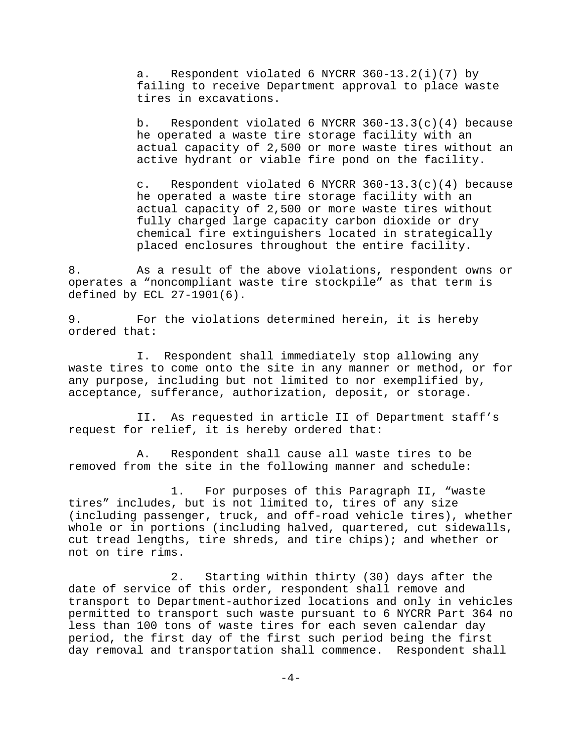a. Respondent violated 6 NYCRR 360-13.2(i)(7) by failing to receive Department approval to place waste tires in excavations.

b. Respondent violated 6 NYCRR  $360-13.3(c)(4)$  because he operated a waste tire storage facility with an actual capacity of 2,500 or more waste tires without an active hydrant or viable fire pond on the facility.

c. Respondent violated 6 NYCRR  $360-13.3(c)(4)$  because he operated a waste tire storage facility with an actual capacity of 2,500 or more waste tires without fully charged large capacity carbon dioxide or dry chemical fire extinguishers located in strategically placed enclosures throughout the entire facility.

8. As a result of the above violations, respondent owns or operates a "noncompliant waste tire stockpile" as that term is defined by ECL 27-1901(6).

9. For the violations determined herein, it is hereby ordered that:

I. Respondent shall immediately stop allowing any waste tires to come onto the site in any manner or method, or for any purpose, including but not limited to nor exemplified by, acceptance, sufferance, authorization, deposit, or storage.

II. As requested in article II of Department staff's request for relief, it is hereby ordered that:

A. Respondent shall cause all waste tires to be removed from the site in the following manner and schedule:

1. For purposes of this Paragraph II, "waste tires" includes, but is not limited to, tires of any size (including passenger, truck, and off-road vehicle tires), whether whole or in portions (including halved, quartered, cut sidewalls, cut tread lengths, tire shreds, and tire chips); and whether or not on tire rims.

2. Starting within thirty (30) days after the date of service of this order, respondent shall remove and transport to Department-authorized locations and only in vehicles permitted to transport such waste pursuant to 6 NYCRR Part 364 no less than 100 tons of waste tires for each seven calendar day period, the first day of the first such period being the first day removal and transportation shall commence. Respondent shall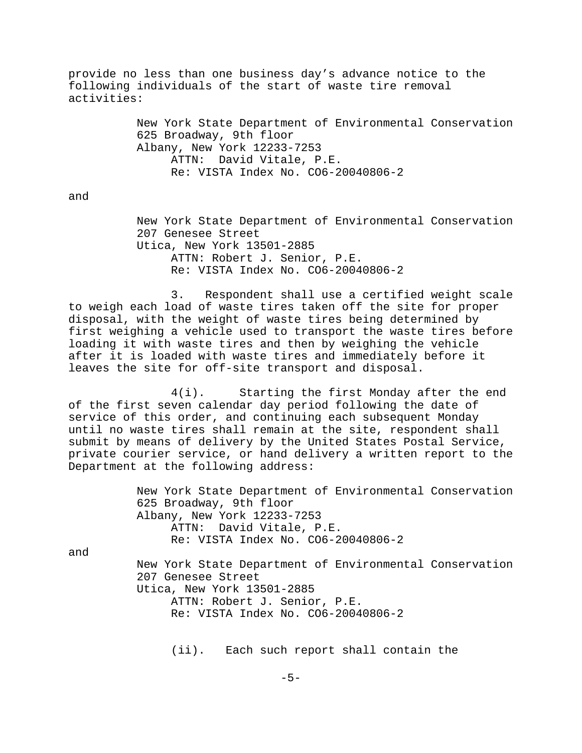provide no less than one business day's advance notice to the following individuals of the start of waste tire removal activities:

> New York State Department of Environmental Conservation 625 Broadway, 9th floor Albany, New York 12233-7253 ATTN: David Vitale, P.E. Re: VISTA Index No. CO6-20040806-2

and

New York State Department of Environmental Conservation 207 Genesee Street Utica, New York 13501-2885 ATTN: Robert J. Senior, P.E. Re: VISTA Index No. CO6-20040806-2

3. Respondent shall use a certified weight scale to weigh each load of waste tires taken off the site for proper disposal, with the weight of waste tires being determined by first weighing a vehicle used to transport the waste tires before loading it with waste tires and then by weighing the vehicle after it is loaded with waste tires and immediately before it leaves the site for off-site transport and disposal.

4(i). Starting the first Monday after the end of the first seven calendar day period following the date of service of this order, and continuing each subsequent Monday until no waste tires shall remain at the site, respondent shall submit by means of delivery by the United States Postal Service, private courier service, or hand delivery a written report to the Department at the following address:

> New York State Department of Environmental Conservation 625 Broadway, 9th floor Albany, New York 12233-7253 ATTN: David Vitale, P.E. Re: VISTA Index No. CO6-20040806-2

and

New York State Department of Environmental Conservation 207 Genesee Street Utica, New York 13501-2885 ATTN: Robert J. Senior, P.E. Re: VISTA Index No. CO6-20040806-2

(ii). Each such report shall contain the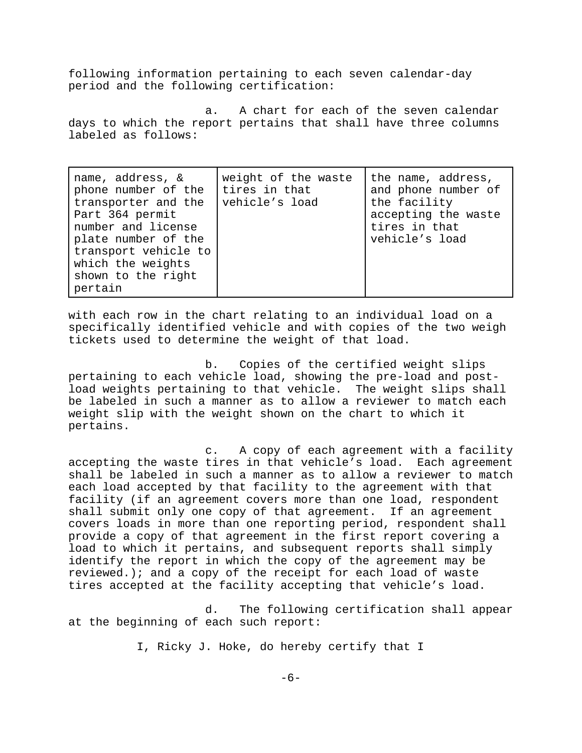following information pertaining to each seven calendar-day period and the following certification:

a. A chart for each of the seven calendar days to which the report pertains that shall have three columns labeled as follows:

with each row in the chart relating to an individual load on a specifically identified vehicle and with copies of the two weigh tickets used to determine the weight of that load.

b. Copies of the certified weight slips pertaining to each vehicle load, showing the pre-load and postload weights pertaining to that vehicle. The weight slips shall be labeled in such a manner as to allow a reviewer to match each weight slip with the weight shown on the chart to which it pertains.

c. A copy of each agreement with a facility accepting the waste tires in that vehicle's load. Each agreement shall be labeled in such a manner as to allow a reviewer to match each load accepted by that facility to the agreement with that facility (if an agreement covers more than one load, respondent shall submit only one copy of that agreement. If an agreement covers loads in more than one reporting period, respondent shall provide a copy of that agreement in the first report covering a load to which it pertains, and subsequent reports shall simply identify the report in which the copy of the agreement may be reviewed.); and a copy of the receipt for each load of waste tires accepted at the facility accepting that vehicle's load.

d. The following certification shall appear at the beginning of each such report:

I, Ricky J. Hoke, do hereby certify that I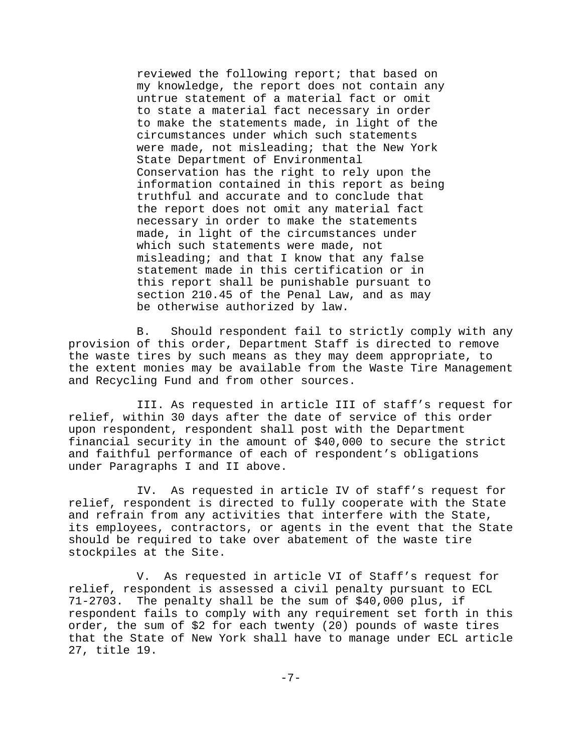reviewed the following report; that based on my knowledge, the report does not contain any untrue statement of a material fact or omit to state a material fact necessary in order to make the statements made, in light of the circumstances under which such statements were made, not misleading; that the New York State Department of Environmental Conservation has the right to rely upon the information contained in this report as being truthful and accurate and to conclude that the report does not omit any material fact necessary in order to make the statements made, in light of the circumstances under which such statements were made, not misleading; and that I know that any false statement made in this certification or in this report shall be punishable pursuant to section 210.45 of the Penal Law, and as may be otherwise authorized by law.

B. Should respondent fail to strictly comply with any provision of this order, Department Staff is directed to remove the waste tires by such means as they may deem appropriate, to the extent monies may be available from the Waste Tire Management and Recycling Fund and from other sources.

III. As requested in article III of staff's request for relief, within 30 days after the date of service of this order upon respondent, respondent shall post with the Department financial security in the amount of \$40,000 to secure the strict and faithful performance of each of respondent's obligations under Paragraphs I and II above.

IV. As requested in article IV of staff's request for relief, respondent is directed to fully cooperate with the State and refrain from any activities that interfere with the State, its employees, contractors, or agents in the event that the State should be required to take over abatement of the waste tire stockpiles at the Site.

V. As requested in article VI of Staff's request for relief, respondent is assessed a civil penalty pursuant to ECL 71-2703. The penalty shall be the sum of \$40,000 plus, if respondent fails to comply with any requirement set forth in this order, the sum of \$2 for each twenty (20) pounds of waste tires that the State of New York shall have to manage under ECL article 27, title 19.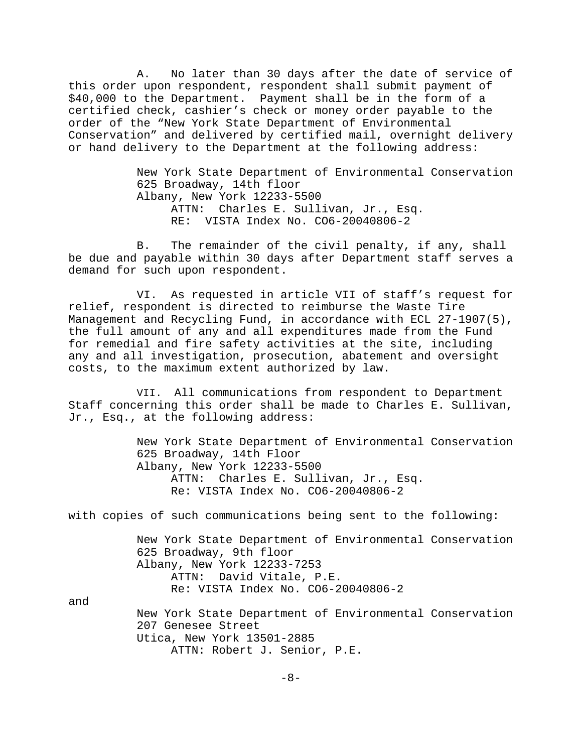A. No later than 30 days after the date of service of this order upon respondent, respondent shall submit payment of \$40,000 to the Department. Payment shall be in the form of a certified check, cashier's check or money order payable to the order of the "New York State Department of Environmental Conservation" and delivered by certified mail, overnight delivery or hand delivery to the Department at the following address:

> New York State Department of Environmental Conservation 625 Broadway, 14th floor Albany, New York 12233-5500 ATTN: Charles E. Sullivan, Jr., Esq. RE: VISTA Index No. CO6-20040806-2

B. The remainder of the civil penalty, if any, shall be due and payable within 30 days after Department staff serves a demand for such upon respondent.

VI. As requested in article VII of staff's request for relief, respondent is directed to reimburse the Waste Tire Management and Recycling Fund, in accordance with ECL 27-1907(5), the full amount of any and all expenditures made from the Fund for remedial and fire safety activities at the site, including any and all investigation, prosecution, abatement and oversight costs, to the maximum extent authorized by law.

VII. All communications from respondent to Department Staff concerning this order shall be made to Charles E. Sullivan, Jr., Esq., at the following address:

> New York State Department of Environmental Conservation 625 Broadway, 14th Floor Albany, New York 12233-5500 ATTN: Charles E. Sullivan, Jr., Esq. Re: VISTA Index No. CO6-20040806-2

with copies of such communications being sent to the following:

New York State Department of Environmental Conservation 625 Broadway, 9th floor Albany, New York 12233-7253 ATTN: David Vitale, P.E. Re: VISTA Index No. CO6-20040806-2

and

New York State Department of Environmental Conservation 207 Genesee Street Utica, New York 13501-2885 ATTN: Robert J. Senior, P.E.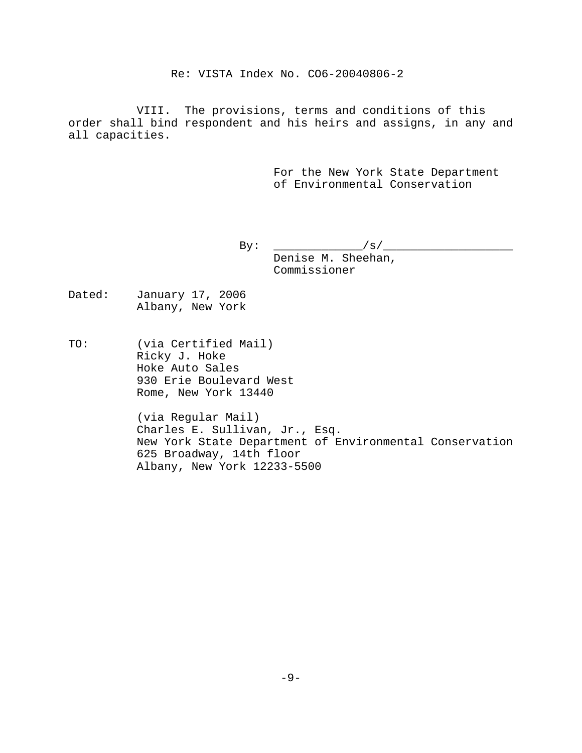Re: VISTA Index No. CO6-20040806-2

VIII. The provisions, terms and conditions of this order shall bind respondent and his heirs and assigns, in any and all capacities.

> For the New York State Department of Environmental Conservation

 $By: \t _{y} :$ Denise M. Sheehan, Commissioner

- Dated: January 17, 2006 Albany, New York
- TO: (via Certified Mail) Ricky J. Hoke Hoke Auto Sales 930 Erie Boulevard West Rome, New York 13440

(via Regular Mail) Charles E. Sullivan, Jr., Esq. New York State Department of Environmental Conservation 625 Broadway, 14th floor Albany, New York 12233-5500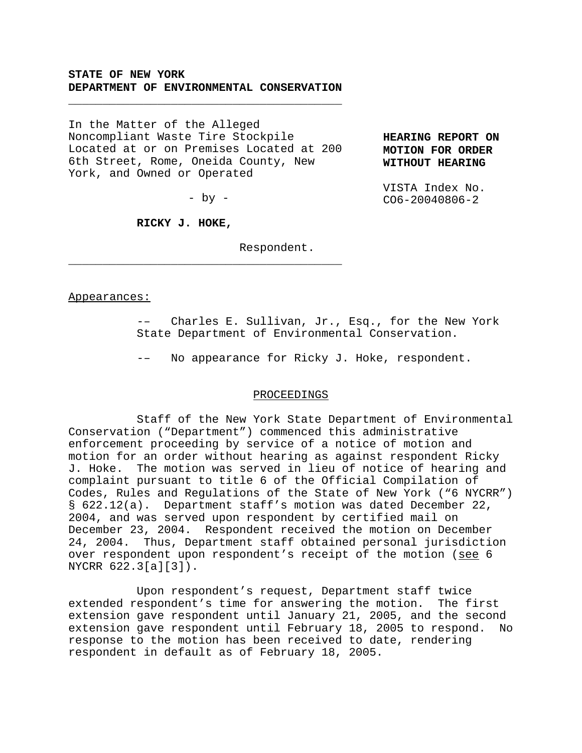## **STATE OF NEW YORK DEPARTMENT OF ENVIRONMENTAL CONSERVATION**

\_\_\_\_\_\_\_\_\_\_\_\_\_\_\_\_\_\_\_\_\_\_\_\_\_\_\_\_\_\_\_\_\_\_\_\_\_\_\_\_

In the Matter of the Alleged Noncompliant Waste Tire Stockpile Located at or on Premises Located at 200 6th Street, Rome, Oneida County, New York, and Owned or Operated

**HEARING REPORT ON MOTION FOR ORDER WITHOUT HEARING**

VISTA Index No. CO6-20040806-2

 $-$  by  $-$ 

\_\_\_\_\_\_\_\_\_\_\_\_\_\_\_\_\_\_\_\_\_\_\_\_\_\_\_\_\_\_\_\_\_\_\_\_\_\_\_\_

**RICKY J. HOKE,**

Respondent.

#### Appearances:

Charles E. Sullivan, Jr., Esq., for the New York State Department of Environmental Conservation.

-– No appearance for Ricky J. Hoke, respondent.

#### PROCEEDINGS

Staff of the New York State Department of Environmental Conservation ("Department") commenced this administrative enforcement proceeding by service of a notice of motion and motion for an order without hearing as against respondent Ricky J. Hoke. The motion was served in lieu of notice of hearing and complaint pursuant to title 6 of the Official Compilation of Codes, Rules and Regulations of the State of New York ("6 NYCRR") § 622.12(a). Department staff's motion was dated December 22, 2004, and was served upon respondent by certified mail on December 23, 2004. Respondent received the motion on December 24, 2004. Thus, Department staff obtained personal jurisdiction over respondent upon respondent's receipt of the motion (see 6 NYCRR 622.3[a][3]).

Upon respondent's request, Department staff twice extended respondent's time for answering the motion. The first extension gave respondent until January 21, 2005, and the second extension gave respondent until February 18, 2005 to respond. No response to the motion has been received to date, rendering respondent in default as of February 18, 2005.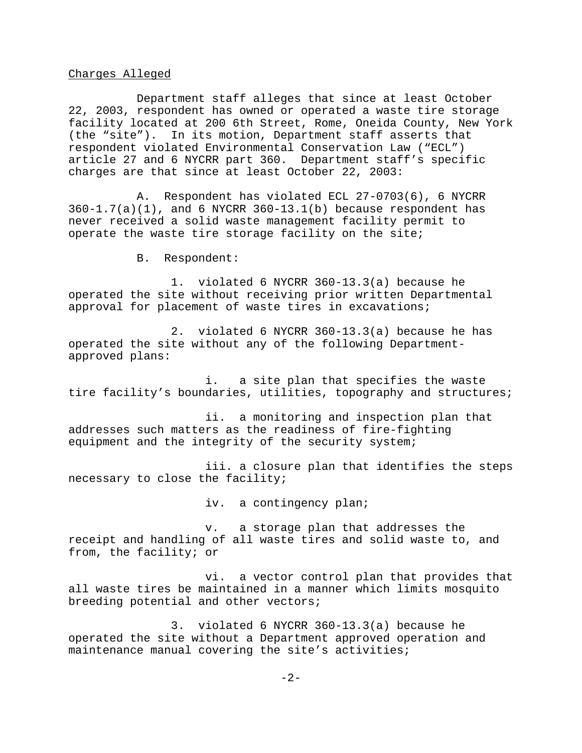### Charges Alleged

Department staff alleges that since at least October 22, 2003, respondent has owned or operated a waste tire storage facility located at 200 6th Street, Rome, Oneida County, New York (the "site"). In its motion, Department staff asserts that respondent violated Environmental Conservation Law ("ECL") article 27 and 6 NYCRR part 360. Department staff's specific charges are that since at least October 22, 2003:

A. Respondent has violated ECL 27-0703(6), 6 NYCRR  $360-1.7(a)(1)$ , and 6 NYCRR  $360-13.1(b)$  because respondent has never received a solid waste management facility permit to operate the waste tire storage facility on the site;

B. Respondent:

1. violated 6 NYCRR 360-13.3(a) because he operated the site without receiving prior written Departmental approval for placement of waste tires in excavations;

2. violated 6 NYCRR 360-13.3(a) because he has operated the site without any of the following Departmentapproved plans:

i. a site plan that specifies the waste tire facility's boundaries, utilities, topography and structures;

ii. a monitoring and inspection plan that addresses such matters as the readiness of fire-fighting equipment and the integrity of the security system;

iii. a closure plan that identifies the steps necessary to close the facility;

iv. a contingency plan;

v. a storage plan that addresses the receipt and handling of all waste tires and solid waste to, and from, the facility; or

vi. a vector control plan that provides that all waste tires be maintained in a manner which limits mosquito breeding potential and other vectors;

3. violated 6 NYCRR 360-13.3(a) because he operated the site without a Department approved operation and maintenance manual covering the site's activities;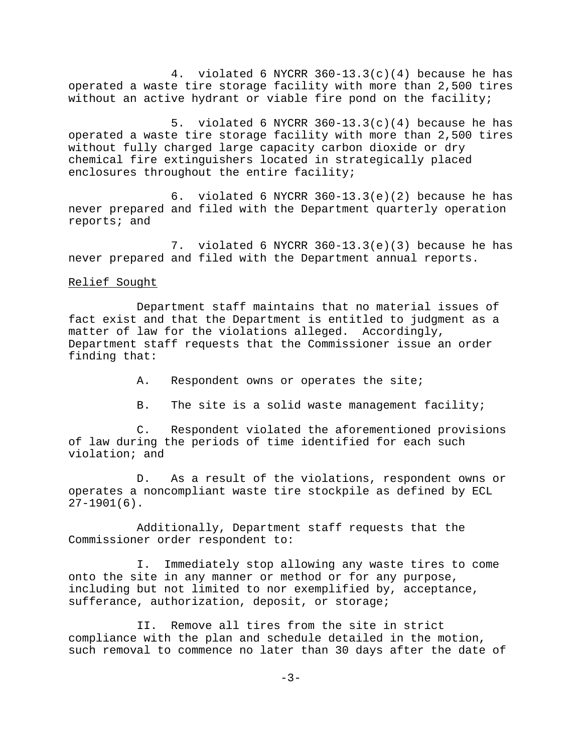4. violated 6 NYCRR 360-13.3(c)(4) because he has operated a waste tire storage facility with more than 2,500 tires without an active hydrant or viable fire pond on the facility;

5. violated 6 NYCRR  $360-13.3(c)(4)$  because he has operated a waste tire storage facility with more than 2,500 tires without fully charged large capacity carbon dioxide or dry chemical fire extinguishers located in strategically placed enclosures throughout the entire facility;

6. violated 6 NYCRR 360-13.3(e)(2) because he has never prepared and filed with the Department quarterly operation reports; and

7. violated 6 NYCRR 360-13.3(e)(3) because he has never prepared and filed with the Department annual reports.

#### Relief Sought

Department staff maintains that no material issues of fact exist and that the Department is entitled to judgment as a matter of law for the violations alleged. Accordingly, Department staff requests that the Commissioner issue an order finding that:

- A. Respondent owns or operates the site;
- B. The site is a solid waste management facility;

C. Respondent violated the aforementioned provisions of law during the periods of time identified for each such violation; and

D. As a result of the violations, respondent owns or operates a noncompliant waste tire stockpile as defined by ECL  $27-1901(6)$ .

Additionally, Department staff requests that the Commissioner order respondent to:

I. Immediately stop allowing any waste tires to come onto the site in any manner or method or for any purpose, including but not limited to nor exemplified by, acceptance, sufferance, authorization, deposit, or storage;

II. Remove all tires from the site in strict compliance with the plan and schedule detailed in the motion, such removal to commence no later than 30 days after the date of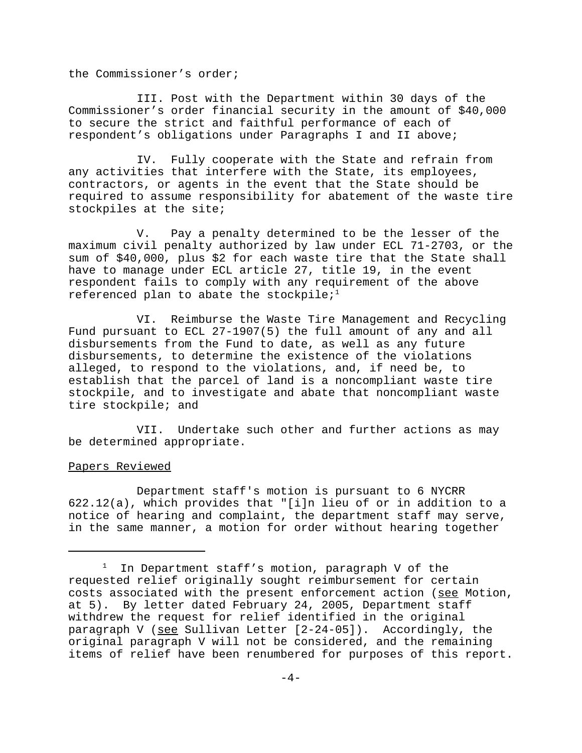the Commissioner's order;

III. Post with the Department within 30 days of the Commissioner's order financial security in the amount of \$40,000 to secure the strict and faithful performance of each of respondent's obligations under Paragraphs I and II above;

IV. Fully cooperate with the State and refrain from any activities that interfere with the State, its employees, contractors, or agents in the event that the State should be required to assume responsibility for abatement of the waste tire stockpiles at the site;

V. Pay a penalty determined to be the lesser of the maximum civil penalty authorized by law under ECL 71-2703, or the sum of \$40,000, plus \$2 for each waste tire that the State shall have to manage under ECL article 27, title 19, in the event respondent fails to comply with any requirement of the above referenced plan to abate the stockpile; $1$ 

VI. Reimburse the Waste Tire Management and Recycling Fund pursuant to ECL 27-1907(5) the full amount of any and all disbursements from the Fund to date, as well as any future disbursements, to determine the existence of the violations alleged, to respond to the violations, and, if need be, to establish that the parcel of land is a noncompliant waste tire stockpile, and to investigate and abate that noncompliant waste tire stockpile; and

VII. Undertake such other and further actions as may be determined appropriate.

#### Papers Reviewed

Department staff's motion is pursuant to 6 NYCRR 622.12(a), which provides that "[i]n lieu of or in addition to a notice of hearing and complaint, the department staff may serve, in the same manner, a motion for order without hearing together

<sup>1</sup> In Department staff's motion, paragraph V of the requested relief originally sought reimbursement for certain costs associated with the present enforcement action (see Motion, at 5). By letter dated February 24, 2005, Department staff withdrew the request for relief identified in the original paragraph V (see Sullivan Letter [2-24-05]). Accordingly, the original paragraph V will not be considered, and the remaining items of relief have been renumbered for purposes of this report.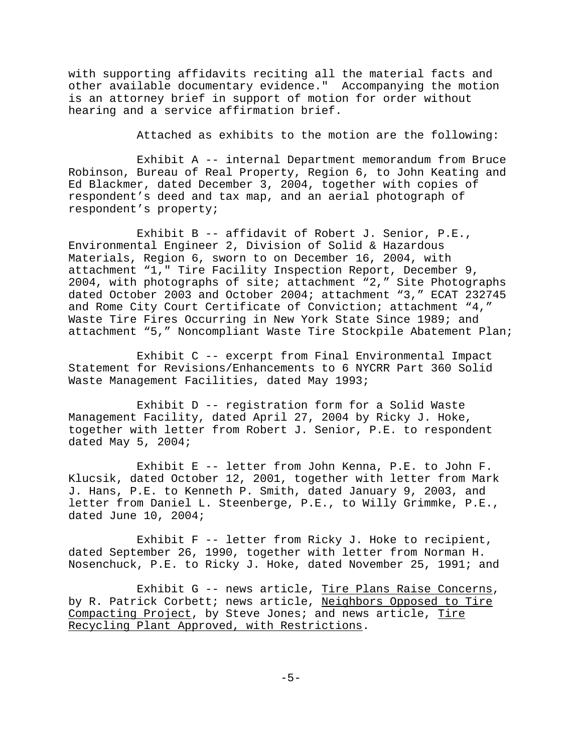with supporting affidavits reciting all the material facts and other available documentary evidence." Accompanying the motion is an attorney brief in support of motion for order without hearing and a service affirmation brief.

Attached as exhibits to the motion are the following:

Exhibit A -- internal Department memorandum from Bruce Robinson, Bureau of Real Property, Region 6, to John Keating and Ed Blackmer, dated December 3, 2004, together with copies of respondent's deed and tax map, and an aerial photograph of respondent's property;

Exhibit B -- affidavit of Robert J. Senior, P.E., Environmental Engineer 2, Division of Solid & Hazardous Materials, Region 6, sworn to on December 16, 2004, with attachment "1," Tire Facility Inspection Report, December 9, 2004, with photographs of site; attachment "2," Site Photographs dated October 2003 and October 2004; attachment "3," ECAT 232745 and Rome City Court Certificate of Conviction; attachment "4," Waste Tire Fires Occurring in New York State Since 1989; and attachment "5," Noncompliant Waste Tire Stockpile Abatement Plan;

Exhibit C -- excerpt from Final Environmental Impact Statement for Revisions/Enhancements to 6 NYCRR Part 360 Solid Waste Management Facilities, dated May 1993;

Exhibit D -- registration form for a Solid Waste Management Facility, dated April 27, 2004 by Ricky J. Hoke, together with letter from Robert J. Senior, P.E. to respondent dated May 5, 2004;

Exhibit E -- letter from John Kenna, P.E. to John F. Klucsik, dated October 12, 2001, together with letter from Mark J. Hans, P.E. to Kenneth P. Smith, dated January 9, 2003, and letter from Daniel L. Steenberge, P.E., to Willy Grimmke, P.E., dated June 10, 2004;

Exhibit F -- letter from Ricky J. Hoke to recipient, dated September 26, 1990, together with letter from Norman H. Nosenchuck, P.E. to Ricky J. Hoke, dated November 25, 1991; and

Exhibit G -- news article, Tire Plans Raise Concerns, by R. Patrick Corbett; news article, Neighbors Opposed to Tire Compacting Project, by Steve Jones; and news article, Tire Recycling Plant Approved, with Restrictions.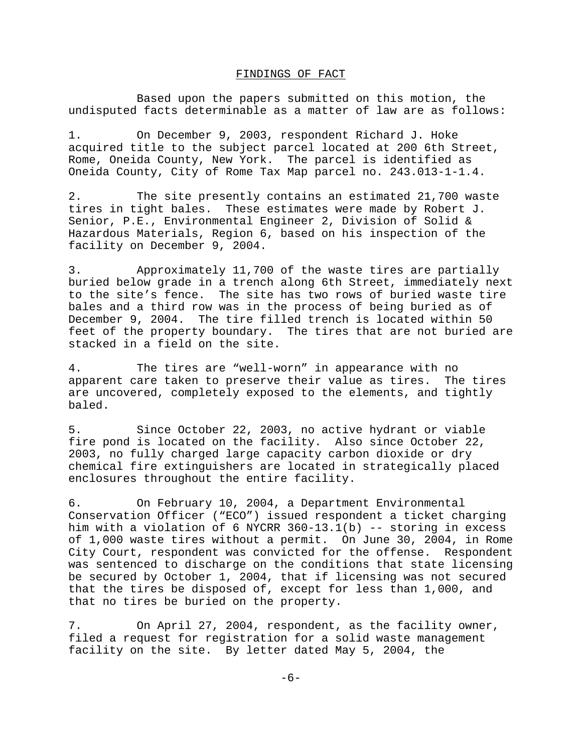#### FINDINGS OF FACT

Based upon the papers submitted on this motion, the undisputed facts determinable as a matter of law are as follows:

1. On December 9, 2003, respondent Richard J. Hoke acquired title to the subject parcel located at 200 6th Street, Rome, Oneida County, New York. The parcel is identified as Oneida County, City of Rome Tax Map parcel no. 243.013-1-1.4.

2. The site presently contains an estimated 21,700 waste tires in tight bales. These estimates were made by Robert J. Senior, P.E., Environmental Engineer 2, Division of Solid & Hazardous Materials, Region 6, based on his inspection of the facility on December 9, 2004.

3. Approximately 11,700 of the waste tires are partially buried below grade in a trench along 6th Street, immediately next to the site's fence. The site has two rows of buried waste tire bales and a third row was in the process of being buried as of December 9, 2004. The tire filled trench is located within 50 feet of the property boundary. The tires that are not buried are stacked in a field on the site.

4. The tires are "well-worn" in appearance with no apparent care taken to preserve their value as tires. The tires are uncovered, completely exposed to the elements, and tightly baled.

5. Since October 22, 2003, no active hydrant or viable fire pond is located on the facility. Also since October 22, 2003, no fully charged large capacity carbon dioxide or dry chemical fire extinguishers are located in strategically placed enclosures throughout the entire facility.

6. On February 10, 2004, a Department Environmental Conservation Officer ("ECO") issued respondent a ticket charging him with a violation of 6 NYCRR 360-13.1(b) -- storing in excess of 1,000 waste tires without a permit. On June 30, 2004, in Rome City Court, respondent was convicted for the offense. Respondent was sentenced to discharge on the conditions that state licensing be secured by October 1, 2004, that if licensing was not secured that the tires be disposed of, except for less than 1,000, and that no tires be buried on the property.

7. On April 27, 2004, respondent, as the facility owner, filed a request for registration for a solid waste management facility on the site. By letter dated May 5, 2004, the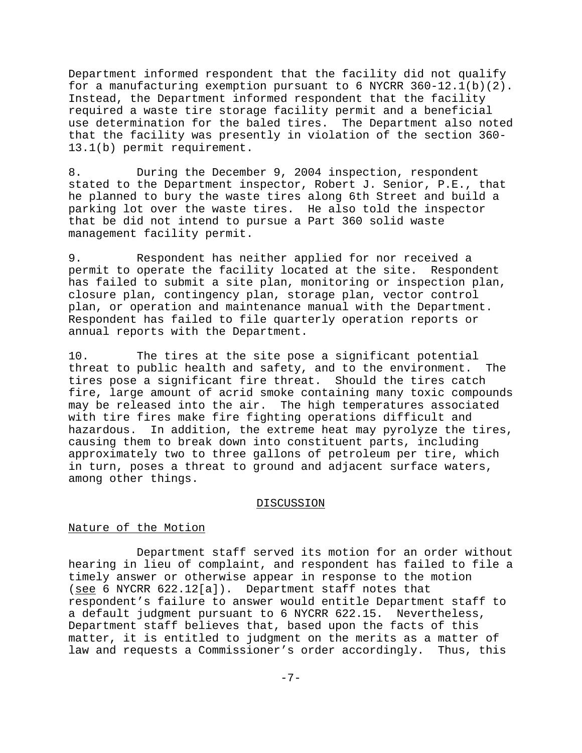Department informed respondent that the facility did not qualify for a manufacturing exemption pursuant to 6 NYCRR 360-12.1(b)(2). Instead, the Department informed respondent that the facility required a waste tire storage facility permit and a beneficial use determination for the baled tires. The Department also noted that the facility was presently in violation of the section 360- 13.1(b) permit requirement.

8. During the December 9, 2004 inspection, respondent stated to the Department inspector, Robert J. Senior, P.E., that he planned to bury the waste tires along 6th Street and build a parking lot over the waste tires. He also told the inspector that be did not intend to pursue a Part 360 solid waste management facility permit.

9. Respondent has neither applied for nor received a permit to operate the facility located at the site. Respondent has failed to submit a site plan, monitoring or inspection plan, closure plan, contingency plan, storage plan, vector control plan, or operation and maintenance manual with the Department. Respondent has failed to file quarterly operation reports or annual reports with the Department.

10. The tires at the site pose a significant potential threat to public health and safety, and to the environment. The tires pose a significant fire threat. Should the tires catch fire, large amount of acrid smoke containing many toxic compounds may be released into the air. The high temperatures associated with tire fires make fire fighting operations difficult and hazardous. In addition, the extreme heat may pyrolyze the tires, causing them to break down into constituent parts, including approximately two to three gallons of petroleum per tire, which in turn, poses a threat to ground and adjacent surface waters, among other things.

#### DISCUSSION

### Nature of the Motion

Department staff served its motion for an order without hearing in lieu of complaint, and respondent has failed to file a timely answer or otherwise appear in response to the motion (see 6 NYCRR 622.12[a]). Department staff notes that respondent's failure to answer would entitle Department staff to a default judgment pursuant to 6 NYCRR 622.15. Nevertheless, Department staff believes that, based upon the facts of this matter, it is entitled to judgment on the merits as a matter of law and requests a Commissioner's order accordingly. Thus, this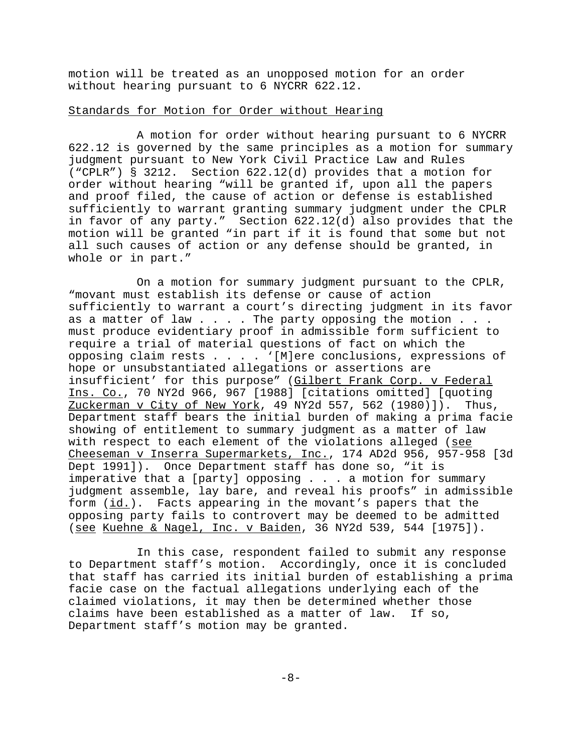motion will be treated as an unopposed motion for an order without hearing pursuant to 6 NYCRR 622.12.

# Standards for Motion for Order without Hearing

A motion for order without hearing pursuant to 6 NYCRR 622.12 is governed by the same principles as a motion for summary judgment pursuant to New York Civil Practice Law and Rules ("CPLR") § 3212. Section 622.12(d) provides that a motion for order without hearing "will be granted if, upon all the papers and proof filed, the cause of action or defense is established sufficiently to warrant granting summary judgment under the CPLR in favor of any party." Section 622.12(d) also provides that the motion will be granted "in part if it is found that some but not all such causes of action or any defense should be granted, in whole or in part."

On a motion for summary judgment pursuant to the CPLR, "movant must establish its defense or cause of action sufficiently to warrant a court's directing judgment in its favor as a matter of law  $\ldots$  . The party opposing the motion  $\ldots$ . must produce evidentiary proof in admissible form sufficient to require a trial of material questions of fact on which the opposing claim rests . . . . '[M]ere conclusions, expressions of hope or unsubstantiated allegations or assertions are insufficient' for this purpose" (Gilbert Frank Corp. v Federal Ins. Co., 70 NY2d 966, 967 [1988] [citations omitted] [quoting Zuckerman v City of New York, 49 NY2d 557, 562 (1980)]). Thus, Department staff bears the initial burden of making a prima facie showing of entitlement to summary judgment as a matter of law with respect to each element of the violations alleged (see Cheeseman v Inserra Supermarkets, Inc., 174 AD2d 956, 957-958 [3d Dept 1991]). Once Department staff has done so, "it is imperative that a [party] opposing . . . a motion for summary judgment assemble, lay bare, and reveal his proofs" in admissible form (id.). Facts appearing in the movant's papers that the opposing party fails to controvert may be deemed to be admitted (see Kuehne & Nagel, Inc. v Baiden, 36 NY2d 539, 544 [1975]).

In this case, respondent failed to submit any response to Department staff's motion. Accordingly, once it is concluded that staff has carried its initial burden of establishing a prima facie case on the factual allegations underlying each of the claimed violations, it may then be determined whether those claims have been established as a matter of law. If so, Department staff's motion may be granted.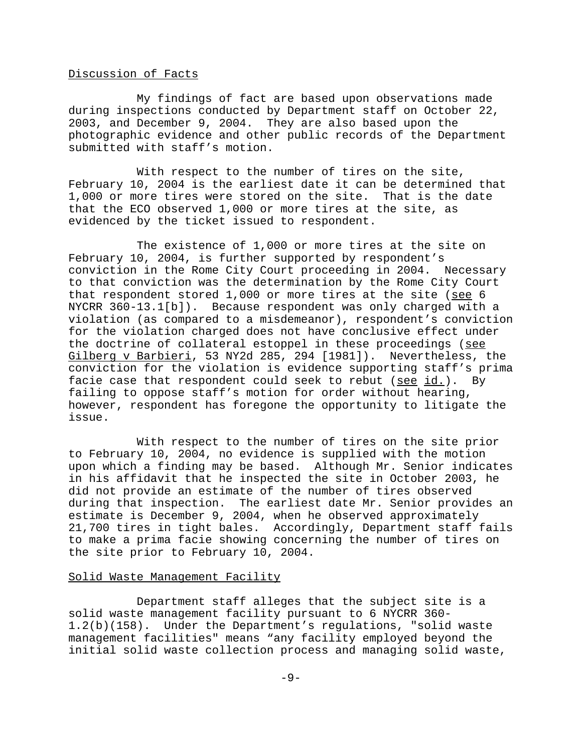### Discussion of Facts

My findings of fact are based upon observations made during inspections conducted by Department staff on October 22, 2003, and December 9, 2004. They are also based upon the photographic evidence and other public records of the Department submitted with staff's motion.

With respect to the number of tires on the site, February 10, 2004 is the earliest date it can be determined that 1,000 or more tires were stored on the site. That is the date that the ECO observed 1,000 or more tires at the site, as evidenced by the ticket issued to respondent.

The existence of 1,000 or more tires at the site on February 10, 2004, is further supported by respondent's conviction in the Rome City Court proceeding in 2004. Necessary to that conviction was the determination by the Rome City Court that respondent stored  $1,000$  or more tires at the site (see 6 NYCRR 360-13.1[b]). Because respondent was only charged with a violation (as compared to a misdemeanor), respondent's conviction for the violation charged does not have conclusive effect under the doctrine of collateral estoppel in these proceedings (see Gilberg v Barbieri, 53 NY2d 285, 294 [1981]). Nevertheless, the conviction for the violation is evidence supporting staff's prima facie case that respondent could seek to rebut (see id.). By failing to oppose staff's motion for order without hearing, however, respondent has foregone the opportunity to litigate the issue.

With respect to the number of tires on the site prior to February 10, 2004, no evidence is supplied with the motion upon which a finding may be based. Although Mr. Senior indicates in his affidavit that he inspected the site in October 2003, he did not provide an estimate of the number of tires observed during that inspection. The earliest date Mr. Senior provides an estimate is December 9, 2004, when he observed approximately 21,700 tires in tight bales. Accordingly, Department staff fails to make a prima facie showing concerning the number of tires on the site prior to February 10, 2004.

### Solid Waste Management Facility

Department staff alleges that the subject site is a solid waste management facility pursuant to 6 NYCRR 360- 1.2(b)(158). Under the Department's regulations, "solid waste management facilities" means "any facility employed beyond the initial solid waste collection process and managing solid waste,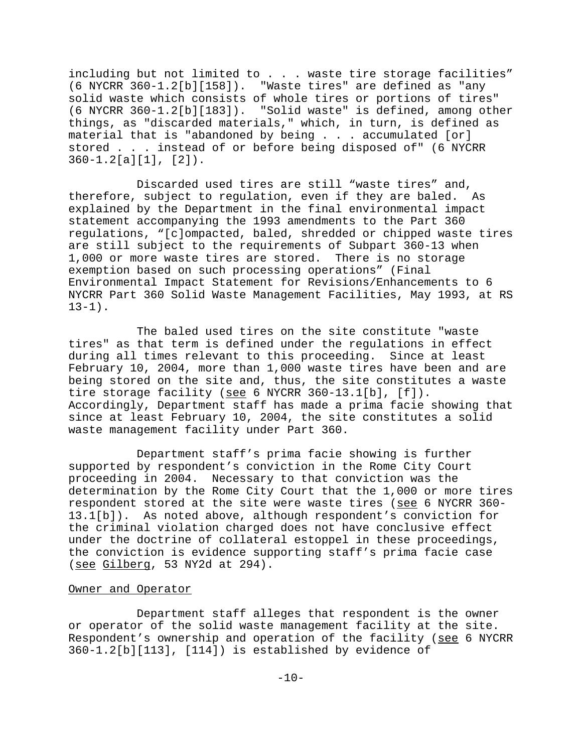including but not limited to . . . waste tire storage facilities"  $(6 \text{ NYCRR } 360 - 1.2[b][158])$ . "Waste tires" are defined as "any solid waste which consists of whole tires or portions of tires" (6 NYCRR 360-1.2[b][183]). "Solid waste" is defined, among other things, as "discarded materials," which, in turn, is defined as material that is "abandoned by being . . . accumulated [or] stored . . . instead of or before being disposed of" (6 NYCRR 360-1.2[a][1], [2]).

Discarded used tires are still "waste tires" and, therefore, subject to regulation, even if they are baled. As explained by the Department in the final environmental impact statement accompanying the 1993 amendments to the Part 360 regulations, "[c]ompacted, baled, shredded or chipped waste tires are still subject to the requirements of Subpart 360-13 when 1,000 or more waste tires are stored. There is no storage exemption based on such processing operations" (Final Environmental Impact Statement for Revisions/Enhancements to 6 NYCRR Part 360 Solid Waste Management Facilities, May 1993, at RS  $13-1$ ).

The baled used tires on the site constitute "waste tires" as that term is defined under the regulations in effect during all times relevant to this proceeding. Since at least February 10, 2004, more than 1,000 waste tires have been and are being stored on the site and, thus, the site constitutes a waste tire storage facility (see 6 NYCRR 360-13.1[b], [f]). Accordingly, Department staff has made a prima facie showing that since at least February 10, 2004, the site constitutes a solid waste management facility under Part 360.

Department staff's prima facie showing is further supported by respondent's conviction in the Rome City Court proceeding in 2004. Necessary to that conviction was the determination by the Rome City Court that the 1,000 or more tires respondent stored at the site were waste tires (see 6 NYCRR 360- 13.1[b]). As noted above, although respondent's conviction for the criminal violation charged does not have conclusive effect under the doctrine of collateral estoppel in these proceedings, the conviction is evidence supporting staff's prima facie case (see Gilberg, 53 NY2d at 294).

#### Owner and Operator

Department staff alleges that respondent is the owner or operator of the solid waste management facility at the site. Respondent's ownership and operation of the facility (see 6 NYCRR 360-1.2[b][113], [114]) is established by evidence of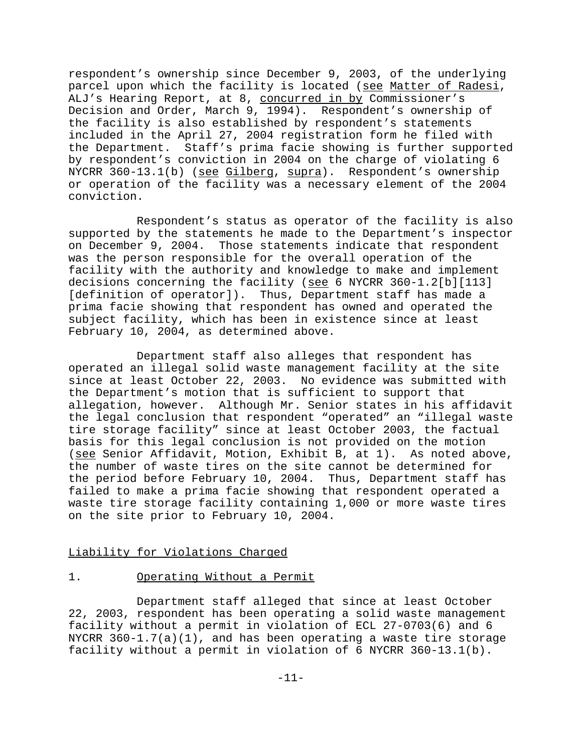respondent's ownership since December 9, 2003, of the underlying parcel upon which the facility is located (see Matter of Radesi, ALJ's Hearing Report, at 8, concurred in by Commissioner's Decision and Order, March 9, 1994). Respondent's ownership of the facility is also established by respondent's statements included in the April 27, 2004 registration form he filed with the Department. Staff's prima facie showing is further supported by respondent's conviction in 2004 on the charge of violating 6 NYCRR 360-13.1(b) (see Gilberg, supra). Respondent's ownership or operation of the facility was a necessary element of the 2004 conviction.

Respondent's status as operator of the facility is also supported by the statements he made to the Department's inspector on December 9, 2004. Those statements indicate that respondent was the person responsible for the overall operation of the facility with the authority and knowledge to make and implement decisions concerning the facility (see 6 NYCRR 360-1.2[b][113] [definition of operator]). Thus, Department staff has made a prima facie showing that respondent has owned and operated the subject facility, which has been in existence since at least February 10, 2004, as determined above.

Department staff also alleges that respondent has operated an illegal solid waste management facility at the site since at least October 22, 2003. No evidence was submitted with the Department's motion that is sufficient to support that allegation, however. Although Mr. Senior states in his affidavit the legal conclusion that respondent "operated" an "illegal waste tire storage facility" since at least October 2003, the factual basis for this legal conclusion is not provided on the motion (see Senior Affidavit, Motion, Exhibit B, at 1). As noted above, the number of waste tires on the site cannot be determined for the period before February 10, 2004. Thus, Department staff has failed to make a prima facie showing that respondent operated a waste tire storage facility containing 1,000 or more waste tires on the site prior to February 10, 2004.

### Liability for Violations Charged

# 1. Operating Without a Permit

Department staff alleged that since at least October 22, 2003, respondent has been operating a solid waste management facility without a permit in violation of ECL 27-0703(6) and 6 NYCRR 360-1.7(a)(1), and has been operating a waste tire storage facility without a permit in violation of 6 NYCRR 360-13.1(b).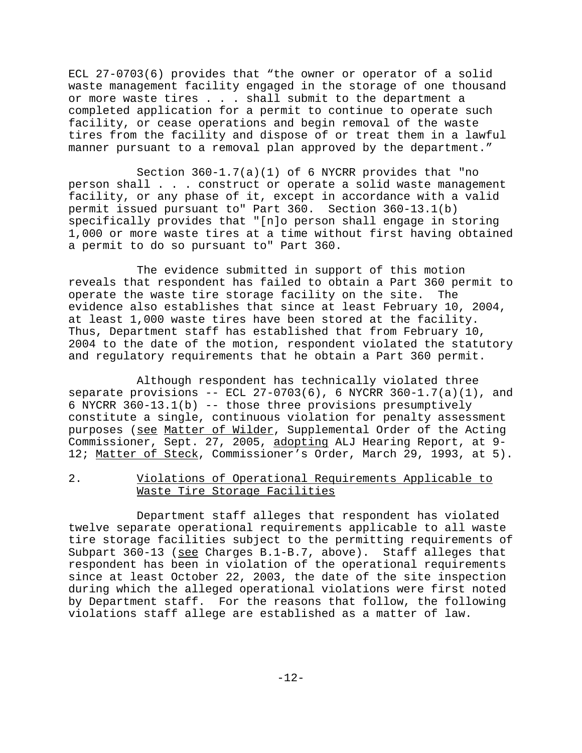ECL 27-0703(6) provides that "the owner or operator of a solid waste management facility engaged in the storage of one thousand or more waste tires . . . shall submit to the department a completed application for a permit to continue to operate such facility, or cease operations and begin removal of the waste tires from the facility and dispose of or treat them in a lawful manner pursuant to a removal plan approved by the department."

Section 360-1.7(a)(1) of 6 NYCRR provides that "no person shall . . . construct or operate a solid waste management facility, or any phase of it, except in accordance with a valid permit issued pursuant to" Part 360. Section 360-13.1(b) specifically provides that "[n]o person shall engage in storing 1,000 or more waste tires at a time without first having obtained a permit to do so pursuant to" Part 360.

The evidence submitted in support of this motion reveals that respondent has failed to obtain a Part 360 permit to operate the waste tire storage facility on the site. The evidence also establishes that since at least February 10, 2004, at least 1,000 waste tires have been stored at the facility. Thus, Department staff has established that from February 10, 2004 to the date of the motion, respondent violated the statutory and regulatory requirements that he obtain a Part 360 permit.

Although respondent has technically violated three separate provisions  $-$ - ECL 27-0703(6), 6 NYCRR 360-1.7(a)(1), and 6 NYCRR 360-13.1(b) -- those three provisions presumptively constitute a single, continuous violation for penalty assessment purposes (see Matter of Wilder, Supplemental Order of the Acting Commissioner, Sept. 27, 2005, adopting ALJ Hearing Report, at 9- 12; Matter of Steck, Commissioner's Order, March 29, 1993, at 5).

2. Violations of Operational Requirements Applicable to Waste Tire Storage Facilities

Department staff alleges that respondent has violated twelve separate operational requirements applicable to all waste tire storage facilities subject to the permitting requirements of Subpart  $360-13$  (see Charges B.1-B.7, above). Staff alleges that respondent has been in violation of the operational requirements since at least October 22, 2003, the date of the site inspection during which the alleged operational violations were first noted by Department staff. For the reasons that follow, the following violations staff allege are established as a matter of law.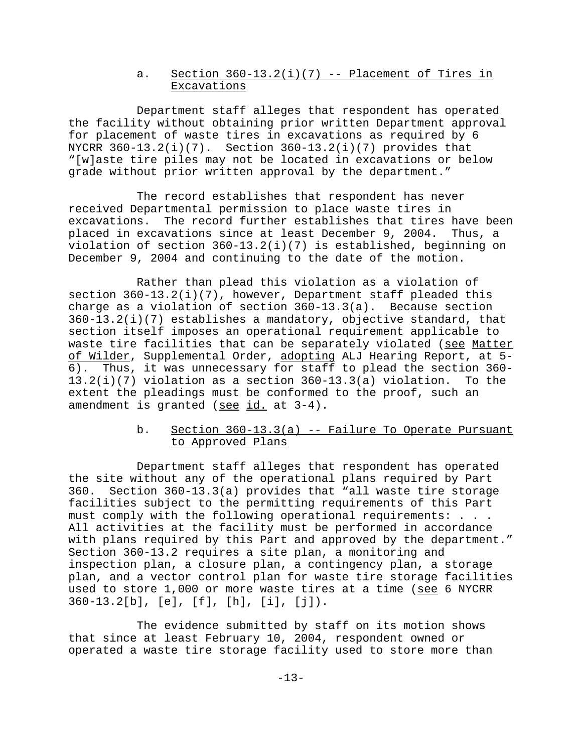## a. Section  $360-13.2(i)(7)$  -- Placement of Tires in Excavations

Department staff alleges that respondent has operated the facility without obtaining prior written Department approval for placement of waste tires in excavations as required by 6 NYCRR  $360-13.2(i)(7)$ . Section  $360-13.2(i)(7)$  provides that "[w]aste tire piles may not be located in excavations or below grade without prior written approval by the department."

The record establishes that respondent has never received Departmental permission to place waste tires in excavations. The record further establishes that tires have been placed in excavations since at least December 9, 2004. Thus, a violation of section 360-13.2(i)(7) is established, beginning on December 9, 2004 and continuing to the date of the motion.

Rather than plead this violation as a violation of section 360-13.2(i)(7), however, Department staff pleaded this charge as a violation of section 360-13.3(a). Because section  $360-13.2(i)(7)$  establishes a mandatory, objective standard, that section itself imposes an operational requirement applicable to waste tire facilities that can be separately violated (see Matter of Wilder, Supplemental Order, adopting ALJ Hearing Report, at 5- 6). Thus, it was unnecessary for staff to plead the section 360- 13.2(i)(7) violation as a section 360-13.3(a) violation. To the extent the pleadings must be conformed to the proof, such an amendment is granted (see id. at 3-4).

# b. Section  $360-13.3(a)$  -- Failure To Operate Pursuant to Approved Plans

Department staff alleges that respondent has operated the site without any of the operational plans required by Part 360. Section 360-13.3(a) provides that "all waste tire storage facilities subject to the permitting requirements of this Part must comply with the following operational requirements: . . . All activities at the facility must be performed in accordance with plans required by this Part and approved by the department." Section 360-13.2 requires a site plan, a monitoring and inspection plan, a closure plan, a contingency plan, a storage plan, and a vector control plan for waste tire storage facilities used to store 1,000 or more waste tires at a time (see 6 NYCRR 360-13.2[b], [e], [f], [h], [i], [j]).

The evidence submitted by staff on its motion shows that since at least February 10, 2004, respondent owned or operated a waste tire storage facility used to store more than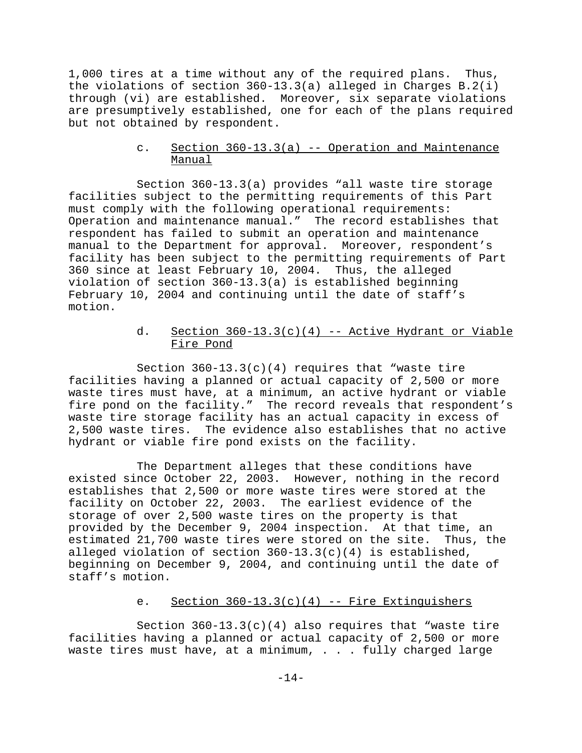1,000 tires at a time without any of the required plans. Thus, the violations of section 360-13.3(a) alleged in Charges B.2(i) through (vi) are established. Moreover, six separate violations are presumptively established, one for each of the plans required but not obtained by respondent.

# c. Section 360-13.3(a) -- Operation and Maintenance Manual

Section 360-13.3(a) provides "all waste tire storage facilities subject to the permitting requirements of this Part must comply with the following operational requirements: Operation and maintenance manual." The record establishes that respondent has failed to submit an operation and maintenance manual to the Department for approval. Moreover, respondent's facility has been subject to the permitting requirements of Part 360 since at least February 10, 2004. Thus, the alleged violation of section 360-13.3(a) is established beginning February 10, 2004 and continuing until the date of staff's motion.

# d. Section  $360-13.3(c)(4)$  -- Active Hydrant or Viable Fire Pond

Section  $360-13.3(c)(4)$  requires that "waste tire facilities having a planned or actual capacity of 2,500 or more waste tires must have, at a minimum, an active hydrant or viable fire pond on the facility." The record reveals that respondent's waste tire storage facility has an actual capacity in excess of 2,500 waste tires. The evidence also establishes that no active hydrant or viable fire pond exists on the facility.

The Department alleges that these conditions have existed since October 22, 2003. However, nothing in the record establishes that 2,500 or more waste tires were stored at the facility on October 22, 2003. The earliest evidence of the storage of over 2,500 waste tires on the property is that provided by the December 9, 2004 inspection. At that time, an estimated 21,700 waste tires were stored on the site. Thus, the alleged violation of section 360-13.3(c)(4) is established, beginning on December 9, 2004, and continuing until the date of staff's motion.

# e. Section  $360-13.3(c)(4)$  -- Fire Extinguishers

Section  $360-13.3(c)(4)$  also requires that "waste tire facilities having a planned or actual capacity of 2,500 or more waste tires must have, at a minimum,  $\ldots$  fully charged large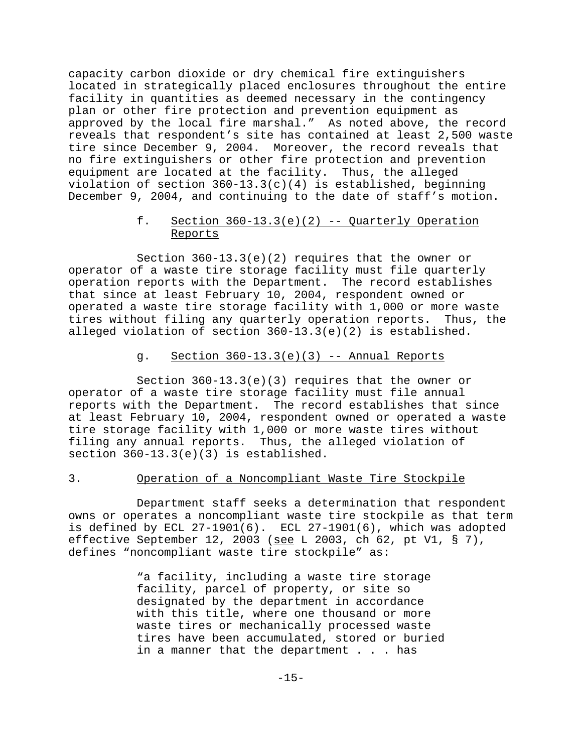capacity carbon dioxide or dry chemical fire extinguishers located in strategically placed enclosures throughout the entire facility in quantities as deemed necessary in the contingency plan or other fire protection and prevention equipment as approved by the local fire marshal." As noted above, the record reveals that respondent's site has contained at least 2,500 waste tire since December 9, 2004. Moreover, the record reveals that no fire extinguishers or other fire protection and prevention equipment are located at the facility. Thus, the alleged violation of section  $360-13.3(c)(4)$  is established, beginning December 9, 2004, and continuing to the date of staff's motion.

# f. Section  $360-13.3(e)(2)$  -- Quarterly Operation Reports

Section  $360-13.3(e)(2)$  requires that the owner or operator of a waste tire storage facility must file quarterly operation reports with the Department. The record establishes that since at least February 10, 2004, respondent owned or operated a waste tire storage facility with 1,000 or more waste tires without filing any quarterly operation reports. Thus, the alleged violation of section 360-13.3(e)(2) is established.

### g. Section  $360-13.3(e)(3)$  -- Annual Reports

Section 360-13.3(e)(3) requires that the owner or operator of a waste tire storage facility must file annual reports with the Department. The record establishes that since at least February 10, 2004, respondent owned or operated a waste tire storage facility with 1,000 or more waste tires without filing any annual reports. Thus, the alleged violation of section 360-13.3(e)(3) is established.

### 3. Operation of a Noncompliant Waste Tire Stockpile

Department staff seeks a determination that respondent owns or operates a noncompliant waste tire stockpile as that term is defined by ECL 27-1901(6). ECL 27-1901(6), which was adopted effective September 12, 2003 (see L 2003, ch 62, pt V1, § 7), defines "noncompliant waste tire stockpile" as:

> "a facility, including a waste tire storage facility, parcel of property, or site so designated by the department in accordance with this title, where one thousand or more waste tires or mechanically processed waste tires have been accumulated, stored or buried in a manner that the department . . . has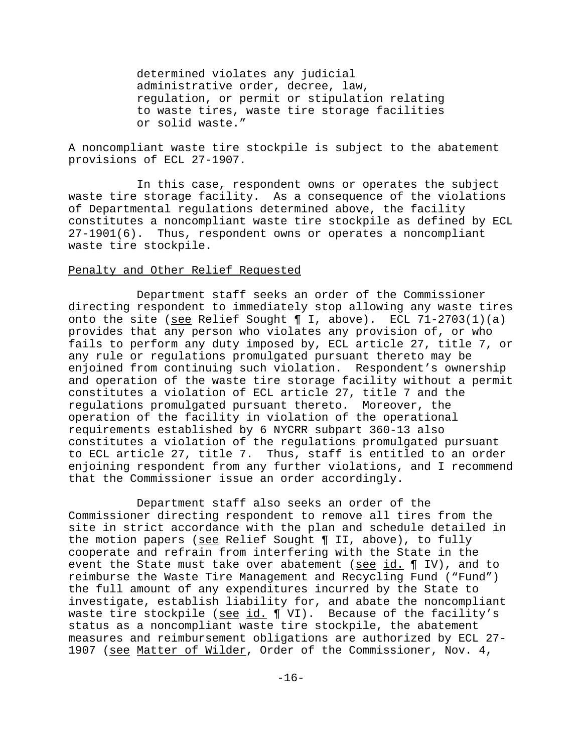determined violates any judicial administrative order, decree, law, regulation, or permit or stipulation relating to waste tires, waste tire storage facilities or solid waste."

A noncompliant waste tire stockpile is subject to the abatement provisions of ECL 27-1907.

In this case, respondent owns or operates the subject waste tire storage facility. As a consequence of the violations of Departmental regulations determined above, the facility constitutes a noncompliant waste tire stockpile as defined by ECL 27-1901(6). Thus, respondent owns or operates a noncompliant waste tire stockpile.

#### Penalty and Other Relief Requested

Department staff seeks an order of the Commissioner directing respondent to immediately stop allowing any waste tires onto the site (see Relief Sought  $\P$  I, above). ECL 71-2703(1)(a) provides that any person who violates any provision of, or who fails to perform any duty imposed by, ECL article 27, title 7, or any rule or regulations promulgated pursuant thereto may be enjoined from continuing such violation. Respondent's ownership and operation of the waste tire storage facility without a permit constitutes a violation of ECL article 27, title 7 and the regulations promulgated pursuant thereto. Moreover, the operation of the facility in violation of the operational requirements established by 6 NYCRR subpart 360-13 also constitutes a violation of the regulations promulgated pursuant to ECL article 27, title 7. Thus, staff is entitled to an order enjoining respondent from any further violations, and I recommend that the Commissioner issue an order accordingly.

Department staff also seeks an order of the Commissioner directing respondent to remove all tires from the site in strict accordance with the plan and schedule detailed in the motion papers (see Relief Sought ¶ II, above), to fully cooperate and refrain from interfering with the State in the event the State must take over abatement (see id. ¶ IV), and to reimburse the Waste Tire Management and Recycling Fund ("Fund") the full amount of any expenditures incurred by the State to investigate, establish liability for, and abate the noncompliant waste tire stockpile (see id. ¶ VI). Because of the facility's status as a noncompliant waste tire stockpile, the abatement measures and reimbursement obligations are authorized by ECL 27- 1907 (see Matter of Wilder, Order of the Commissioner, Nov. 4,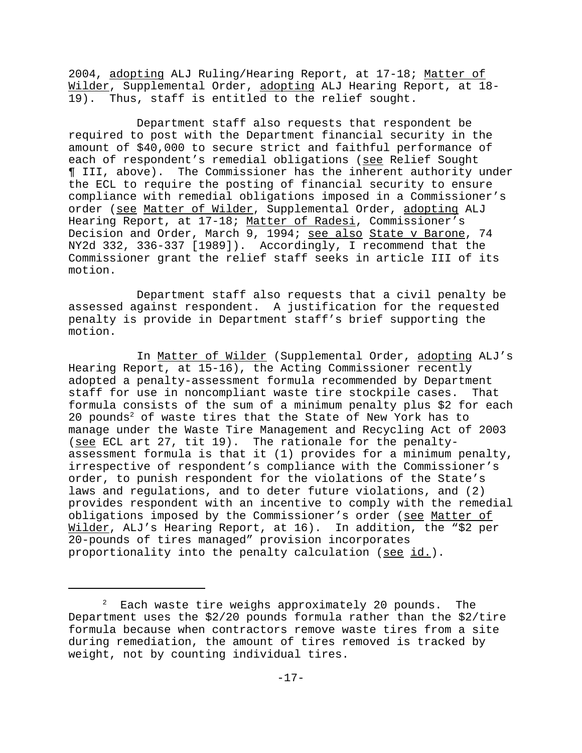2004, adopting ALJ Ruling/Hearing Report, at 17-18; Matter of Wilder, Supplemental Order, adopting ALJ Hearing Report, at 18- 19). Thus, staff is entitled to the relief sought.

Department staff also requests that respondent be required to post with the Department financial security in the amount of \$40,000 to secure strict and faithful performance of each of respondent's remedial obligations (see Relief Sought ¶ III, above). The Commissioner has the inherent authority under the ECL to require the posting of financial security to ensure compliance with remedial obligations imposed in a Commissioner's order (see Matter of Wilder, Supplemental Order, adopting ALJ Hearing Report, at 17-18; Matter of Radesi, Commissioner's Decision and Order, March 9, 1994; see also State v Barone, 74 NY2d 332, 336-337 [1989]). Accordingly, I recommend that the Commissioner grant the relief staff seeks in article III of its motion.

Department staff also requests that a civil penalty be assessed against respondent. A justification for the requested penalty is provide in Department staff's brief supporting the motion.

In Matter of Wilder (Supplemental Order, adopting ALJ's Hearing Report, at 15-16), the Acting Commissioner recently adopted a penalty-assessment formula recommended by Department staff for use in noncompliant waste tire stockpile cases. That formula consists of the sum of a minimum penalty plus \$2 for each 20 pounds<sup>2</sup> of waste tires that the State of New York has to manage under the Waste Tire Management and Recycling Act of 2003 (see ECL art 27, tit 19). The rationale for the penaltyassessment formula is that it (1) provides for a minimum penalty, irrespective of respondent's compliance with the Commissioner's order, to punish respondent for the violations of the State's laws and regulations, and to deter future violations, and (2) provides respondent with an incentive to comply with the remedial obligations imposed by the Commissioner's order (see Matter of Wilder, ALJ's Hearing Report, at 16). In addition, the "\$2 per 20-pounds of tires managed" provision incorporates proportionality into the penalty calculation (see id.).

 $^2$  Each waste tire weighs approximately 20 pounds. The Department uses the \$2/20 pounds formula rather than the \$2/tire formula because when contractors remove waste tires from a site during remediation, the amount of tires removed is tracked by weight, not by counting individual tires.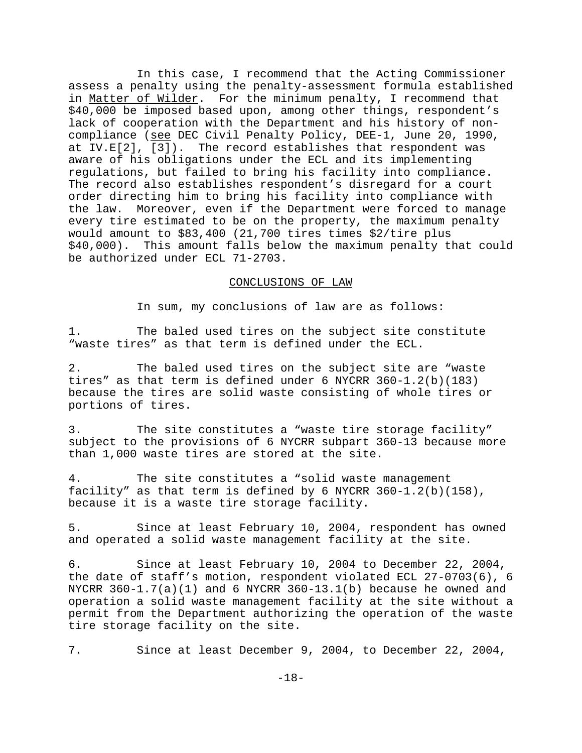In this case, I recommend that the Acting Commissioner assess a penalty using the penalty-assessment formula established in Matter of Wilder. For the minimum penalty, I recommend that \$40,000 be imposed based upon, among other things, respondent's lack of cooperation with the Department and his history of noncompliance (see DEC Civil Penalty Policy, DEE-1, June 20, 1990, at IV.E[2], [3]). The record establishes that respondent was aware of his obligations under the ECL and its implementing regulations, but failed to bring his facility into compliance. The record also establishes respondent's disregard for a court order directing him to bring his facility into compliance with the law. Moreover, even if the Department were forced to manage every tire estimated to be on the property, the maximum penalty would amount to \$83,400 (21,700 tires times \$2/tire plus \$40,000). This amount falls below the maximum penalty that could be authorized under ECL 71-2703.

## CONCLUSIONS OF LAW

In sum, my conclusions of law are as follows:

1. The baled used tires on the subject site constitute "waste tires" as that term is defined under the ECL.

2. The baled used tires on the subject site are "waste tires" as that term is defined under 6 NYCRR 360-1.2(b)(183) because the tires are solid waste consisting of whole tires or portions of tires.

3. The site constitutes a "waste tire storage facility" subject to the provisions of 6 NYCRR subpart 360-13 because more than 1,000 waste tires are stored at the site.

4. The site constitutes a "solid waste management facility" as that term is defined by 6 NYCRR 360-1.2(b)(158), because it is a waste tire storage facility.

5. Since at least February 10, 2004, respondent has owned and operated a solid waste management facility at the site.

6. Since at least February 10, 2004 to December 22, 2004, the date of staff's motion, respondent violated ECL 27-0703(6), 6 NYCRR  $360-1.7(a)(1)$  and 6 NYCRR  $360-13.1(b)$  because he owned and operation a solid waste management facility at the site without a permit from the Department authorizing the operation of the waste tire storage facility on the site.

7. Since at least December 9, 2004, to December 22, 2004,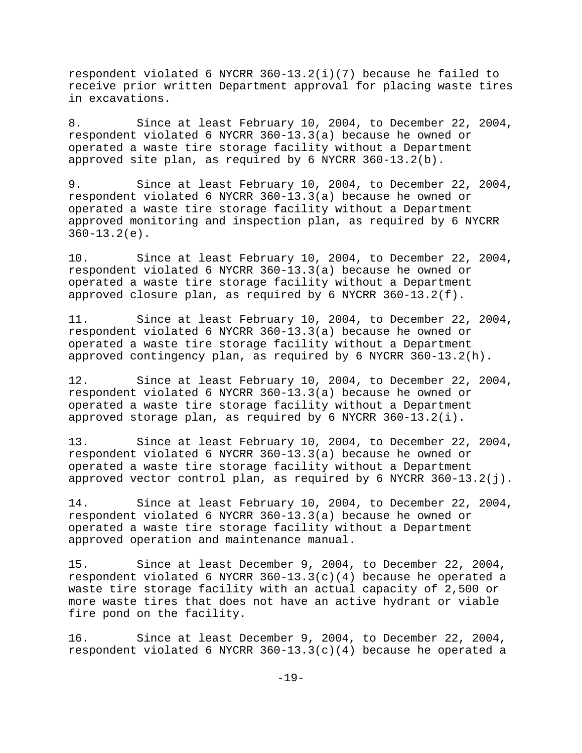respondent violated 6 NYCRR 360-13.2(i)(7) because he failed to receive prior written Department approval for placing waste tires in excavations.

8. Since at least February 10, 2004, to December 22, 2004, respondent violated 6 NYCRR 360-13.3(a) because he owned or operated a waste tire storage facility without a Department approved site plan, as required by 6 NYCRR 360-13.2(b).

9. Since at least February 10, 2004, to December 22, 2004, respondent violated 6 NYCRR 360-13.3(a) because he owned or operated a waste tire storage facility without a Department approved monitoring and inspection plan, as required by 6 NYCRR 360-13.2(e).

10. Since at least February 10, 2004, to December 22, 2004, respondent violated 6 NYCRR 360-13.3(a) because he owned or operated a waste tire storage facility without a Department approved closure plan, as required by 6 NYCRR 360-13.2(f).

11. Since at least February 10, 2004, to December 22, 2004, respondent violated 6 NYCRR 360-13.3(a) because he owned or operated a waste tire storage facility without a Department approved contingency plan, as required by 6 NYCRR 360-13.2(h).

12. Since at least February 10, 2004, to December 22, 2004, respondent violated 6 NYCRR 360-13.3(a) because he owned or operated a waste tire storage facility without a Department approved storage plan, as required by 6 NYCRR 360-13.2(i).

13. Since at least February 10, 2004, to December 22, 2004, respondent violated 6 NYCRR 360-13.3(a) because he owned or operated a waste tire storage facility without a Department approved vector control plan, as required by 6 NYCRR  $360-13.2(j)$ .

14. Since at least February 10, 2004, to December 22, 2004, respondent violated 6 NYCRR 360-13.3(a) because he owned or operated a waste tire storage facility without a Department approved operation and maintenance manual.

15. Since at least December 9, 2004, to December 22, 2004, respondent violated 6 NYCRR 360-13.3(c)(4) because he operated a waste tire storage facility with an actual capacity of 2,500 or more waste tires that does not have an active hydrant or viable fire pond on the facility.

16. Since at least December 9, 2004, to December 22, 2004, respondent violated 6 NYCRR 360-13.3(c)(4) because he operated a